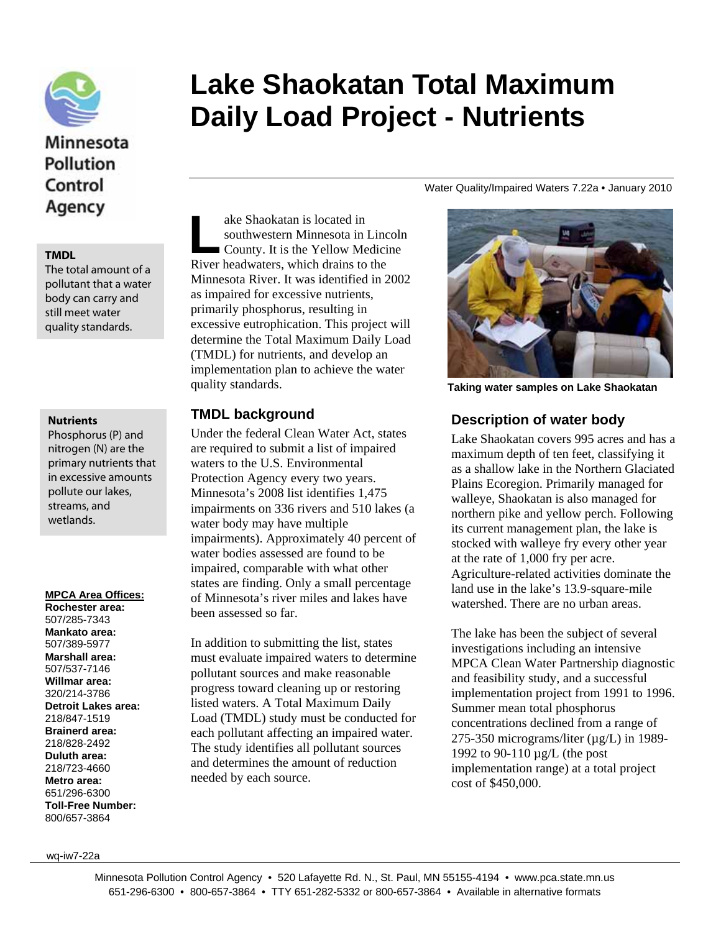

# Minnesota Pollution Control

The total amount of a pollutant that a water body can carry and still meet water quality standards.

#### **Nutrients**

Phosphorus (P) and nitrogen (N) are the primary nutrients that in excessive amounts pollute our lakes, streams, and wetlands.

#### **MPCA Area Offices:**

**Rochester area:**  507/285-7343 **Mankato area:**  507/389-5977 **Marshall area:**  507/537-7146 **Willmar area:**  320/214-3786 **Detroit Lakes area:**  218/847-1519 **Brainerd area:**  218/828-2492 **Duluth area:**  218/723-4660 **Metro area:**  651/296-6300 **Toll-Free Number:**  800/657-3864

# **Lake Shaokatan Total Maximum Daily Load Project - Nutrients**

Water Quality/Impaired Waters 7.22a • January 2010

ake Shaokatan is located in southwestern Minnesota in Lincoln County. It is the Yellow Medicine River headwaters, which drains to the Minnesota River. It was identified in 2002 as impaired for excessive nutrients, primarily phosphorus, resulting in excessive eutrophication. This project will determine the Total Maximum Daily Load (TMDL) for nutrients, and develop an implementation plan to achieve the water quality standards. TMDL<br>TMDL

### **TMDL background**

Under the federal Clean Water Act, states are required to submit a list of impaired waters to the U.S. Environmental Protection Agency every two years. Minnesota's 2008 list identifies 1,475 impairments on 336 rivers and 510 lakes (a water body may have multiple impairments). Approximately 40 percent of water bodies assessed are found to be impaired, comparable with what other states are finding. Only a small percentage of Minnesota's river miles and lakes have been assessed so far.

In addition to submitting the list, states must evaluate impaired waters to determine pollutant sources and make reasonable progress toward cleaning up or restoring listed waters. A Total Maximum Daily Load (TMDL) study must be conducted for each pollutant affecting an impaired water. The study identifies all pollutant sources and determines the amount of reduction needed by each source.



**Taking water samples on Lake Shaokatan** 

#### **Description of water body**

Lake Shaokatan covers 995 acres and has a maximum depth of ten feet, classifying it as a shallow lake in the Northern Glaciated Plains Ecoregion. Primarily managed for walleye, Shaokatan is also managed for northern pike and yellow perch. Following its current management plan, the lake is stocked with walleye fry every other year at the rate of 1,000 fry per acre. Agriculture-related activities dominate the land use in the lake's 13.9-square-mile watershed. There are no urban areas.

The lake has been the subject of several investigations including an intensive MPCA Clean Water Partnership diagnostic and feasibility study, and a successful implementation project from 1991 to 1996. Summer mean total phosphorus concentrations declined from a range of 275-350 micrograms/liter ( $\mu$ g/L) in 1989-1992 to 90-110 µg/L (the post implementation range) at a total project cost of \$450,000.